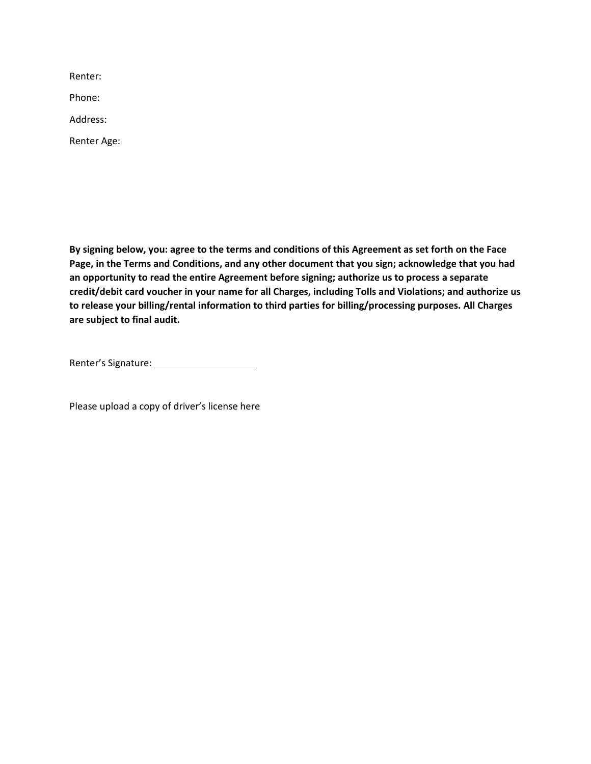Renter:

Phone:

Address:

Renter Age:

**By signing below, you: agree to the terms and conditions of this Agreement as set forth on the Face Page, in the Terms and Conditions, and any other document that you sign; acknowledge that you had an opportunity to read the entire Agreement before signing; authorize us to process a separate credit/debit card voucher in your name for all Charges, including Tolls and Violations; and authorize us to release your billing/rental information to third parties for billing/processing purposes. All Charges are subject to final audit.**

Renter's Signature: Manual Assembly Renter's Signature:

Please upload a copy of driver's license here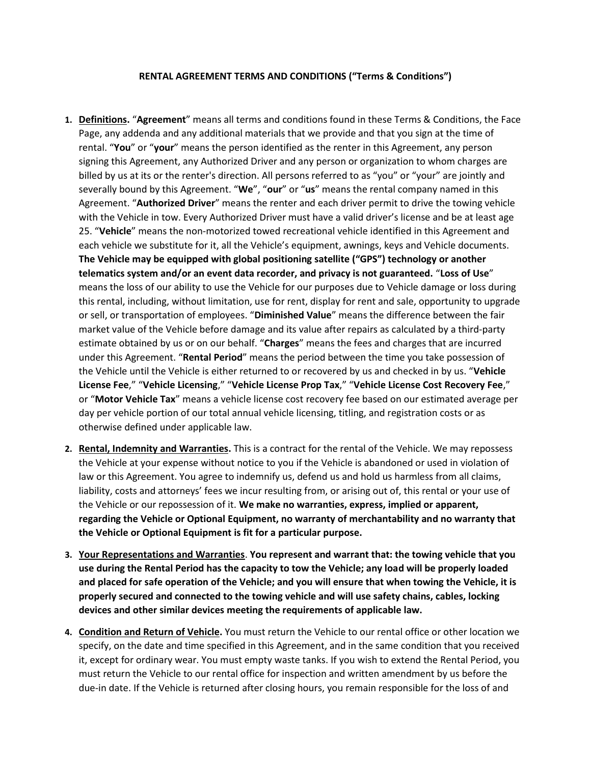## **RENTAL AGREEMENT TERMS AND CONDITIONS ("Terms & Conditions")**

- **1. Definitions.** "**Agreement**" means all terms and conditions found in these Terms & Conditions, the Face Page, any addenda and any additional materials that we provide and that you sign at the time of rental. "**You**" or "**your**" means the person identified as the renter in this Agreement, any person signing this Agreement, any Authorized Driver and any person or organization to whom charges are billed by us at its or the renter's direction. All persons referred to as "you" or "your" are jointly and severally bound by this Agreement. "**We**", "**our**" or "**us**" means the rental company named in this Agreement. "**Authorized Driver**" means the renter and each driver permit to drive the towing vehicle with the Vehicle in tow. Every Authorized Driver must have a valid driver's license and be at least age 25. "**Vehicle**" means the non‐motorized towed recreational vehicle identified in this Agreement and each vehicle we substitute for it, all the Vehicle's equipment, awnings, keys and Vehicle documents. **The Vehicle may be equipped with global positioning satellite ("GPS") technology or another telematics system and/or an event data recorder, and privacy is not guaranteed.** "**Loss of Use**" means the loss of our ability to use the Vehicle for our purposes due to Vehicle damage or loss during this rental, including, without limitation, use for rent, display for rent and sale, opportunity to upgrade or sell, or transportation of employees. "**Diminished Value**" means the difference between the fair market value of the Vehicle before damage and its value after repairs as calculated by a third‐party estimate obtained by us or on our behalf. "**Charges**" means the fees and charges that are incurred under this Agreement. "**Rental Period**" means the period between the time you take possession of the Vehicle until the Vehicle is either returned to or recovered by us and checked in by us. "**Vehicle License Fee**," "**Vehicle Licensing**," "**Vehicle License Prop Tax**," "**Vehicle License Cost Recovery Fee**," or "**Motor Vehicle Tax**" means a vehicle license cost recovery fee based on our estimated average per day per vehicle portion of our total annual vehicle licensing, titling, and registration costs or as otherwise defined under applicable law.
- **2. Rental, Indemnity and Warranties.** This is a contract for the rental of the Vehicle. We may repossess the Vehicle at your expense without notice to you if the Vehicle is abandoned or used in violation of law or this Agreement. You agree to indemnify us, defend us and hold us harmless from all claims, liability, costs and attorneys' fees we incur resulting from, or arising out of, this rental or your use of the Vehicle or our repossession of it. **We make no warranties, express, implied or apparent, regarding the Vehicle or Optional Equipment, no warranty of merchantability and no warranty that the Vehicle or Optional Equipment is fit for a particular purpose.**
- **3. Your Representations and Warranties**. **You represent and warrant that: the towing vehicle that you use during the Rental Period has the capacity to tow the Vehicle; any load will be properly loaded and placed for safe operation of the Vehicle; and you will ensure that when towing the Vehicle, it is properly secured and connected to the towing vehicle and will use safety chains, cables, locking devices and other similar devices meeting the requirements of applicable law.**
- **4. Condition and Return of Vehicle.** You must return the Vehicle to our rental office or other location we specify, on the date and time specified in this Agreement, and in the same condition that you received it, except for ordinary wear. You must empty waste tanks. If you wish to extend the Rental Period, you must return the Vehicle to our rental office for inspection and written amendment by us before the due‐in date. If the Vehicle is returned after closing hours, you remain responsible for the loss of and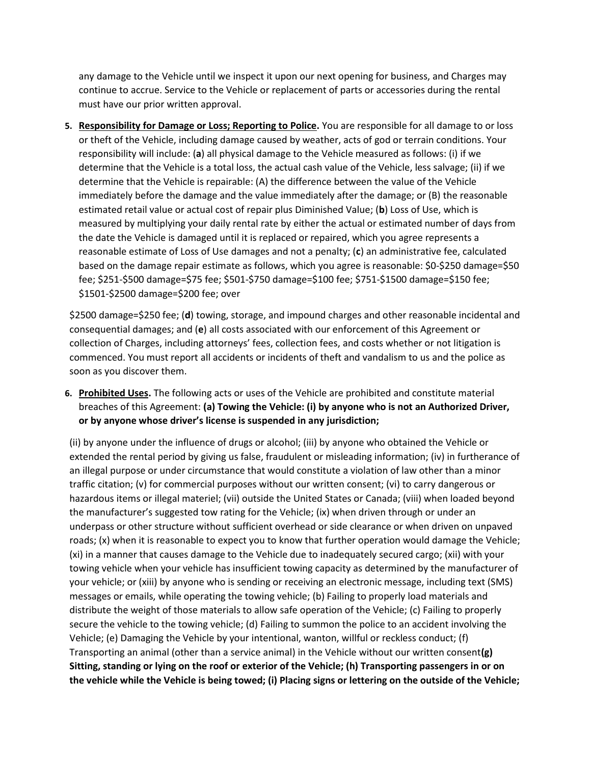any damage to the Vehicle until we inspect it upon our next opening for business, and Charges may continue to accrue. Service to the Vehicle or replacement of parts or accessories during the rental must have our prior written approval.

**5. Responsibility for Damage or Loss; Reporting to Police.** You are responsible for all damage to or loss or theft of the Vehicle, including damage caused by weather, acts of god or terrain conditions. Your responsibility will include: (**a**) all physical damage to the Vehicle measured as follows: (i) if we determine that the Vehicle is a total loss, the actual cash value of the Vehicle, less salvage; (ii) if we determine that the Vehicle is repairable: (A) the difference between the value of the Vehicle immediately before the damage and the value immediately after the damage; or (B) the reasonable estimated retail value or actual cost of repair plus Diminished Value; (**b**) Loss of Use, which is measured by multiplying your daily rental rate by either the actual or estimated number of days from the date the Vehicle is damaged until it is replaced or repaired, which you agree represents a reasonable estimate of Loss of Use damages and not a penalty; (**c**) an administrative fee, calculated based on the damage repair estimate as follows, which you agree is reasonable: \$0‐\$250 damage=\$50 fee; \$251‐\$500 damage=\$75 fee; \$501‐\$750 damage=\$100 fee; \$751‐\$1500 damage=\$150 fee; \$1501‐\$2500 damage=\$200 fee; over

\$2500 damage=\$250 fee; (**d**) towing, storage, and impound charges and other reasonable incidental and consequential damages; and (**e**) all costs associated with our enforcement of this Agreement or collection of Charges, including attorneys' fees, collection fees, and costs whether or not litigation is commenced. You must report all accidents or incidents of theft and vandalism to us and the police as soon as you discover them.

**6. Prohibited Uses.** The following acts or uses of the Vehicle are prohibited and constitute material breaches of this Agreement: **(a) Towing the Vehicle: (i) by anyone who is not an Authorized Driver, or by anyone whose driver's license is suspended in any jurisdiction;**

(ii) by anyone under the influence of drugs or alcohol; (iii) by anyone who obtained the Vehicle or extended the rental period by giving us false, fraudulent or misleading information; (iv) in furtherance of an illegal purpose or under circumstance that would constitute a violation of law other than a minor traffic citation; (v) for commercial purposes without our written consent; (vi) to carry dangerous or hazardous items or illegal materiel; (vii) outside the United States or Canada; (viii) when loaded beyond the manufacturer's suggested tow rating for the Vehicle; (ix) when driven through or under an underpass or other structure without sufficient overhead or side clearance or when driven on unpaved roads; (x) when it is reasonable to expect you to know that further operation would damage the Vehicle; (xi) in a manner that causes damage to the Vehicle due to inadequately secured cargo; (xii) with your towing vehicle when your vehicle has insufficient towing capacity as determined by the manufacturer of your vehicle; or (xiii) by anyone who is sending or receiving an electronic message, including text (SMS) messages or emails, while operating the towing vehicle; (b) Failing to properly load materials and distribute the weight of those materials to allow safe operation of the Vehicle; (c) Failing to properly secure the vehicle to the towing vehicle; (d) Failing to summon the police to an accident involving the Vehicle; (e) Damaging the Vehicle by your intentional, wanton, willful or reckless conduct; (f) Transporting an animal (other than a service animal) in the Vehicle without our written consent**(g) Sitting, standing or lying on the roof or exterior of the Vehicle; (h) Transporting passengers in or on the vehicle while the Vehicle is being towed; (i) Placing signs or lettering on the outside of the Vehicle;**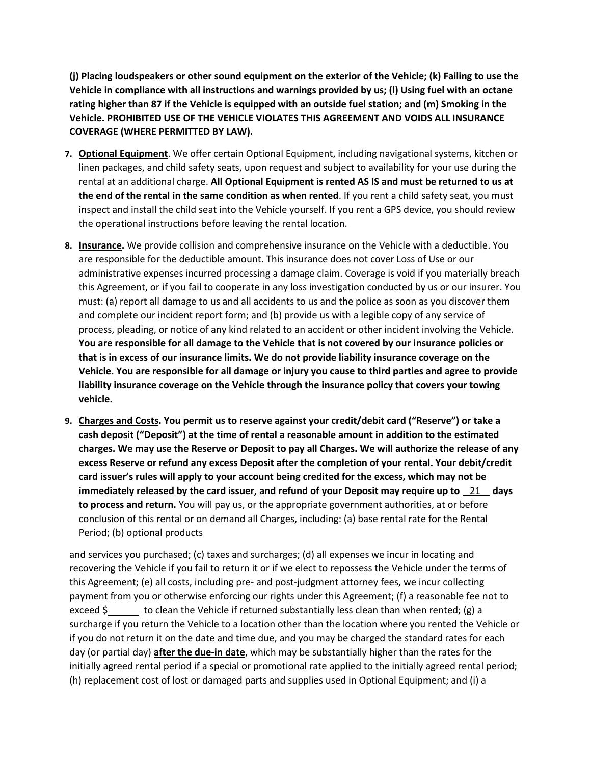**(j) Placing loudspeakers or other sound equipment on the exterior of the Vehicle; (k) Failing to use the Vehicle in compliance with all instructions and warnings provided by us; (l) Using fuel with an octane rating higher than 87 if the Vehicle is equipped with an outside fuel station; and (m) Smoking in the Vehicle. PROHIBITED USE OF THE VEHICLE VIOLATES THIS AGREEMENT AND VOIDS ALL INSURANCE COVERAGE (WHERE PERMITTED BY LAW).**

- **7. Optional Equipment**. We offer certain Optional Equipment, including navigational systems, kitchen or linen packages, and child safety seats, upon request and subject to availability for your use during the rental at an additional charge. **All Optional Equipment is rented AS IS and must be returned to us at the end of the rental in the same condition as when rented**. If you rent a child safety seat, you must inspect and install the child seat into the Vehicle yourself. If you rent a GPS device, you should review the operational instructions before leaving the rental location.
- **8. Insurance.** We provide collision and comprehensive insurance on the Vehicle with a deductible. You are responsible for the deductible amount. This insurance does not cover Loss of Use or our administrative expenses incurred processing a damage claim. Coverage is void if you materially breach this Agreement, or if you fail to cooperate in any loss investigation conducted by us or our insurer. You must: (a) report all damage to us and all accidents to us and the police as soon as you discover them and complete our incident report form; and (b) provide us with a legible copy of any service of process, pleading, or notice of any kind related to an accident or other incident involving the Vehicle. **You are responsible for all damage to the Vehicle that is not covered by our insurance policies or that is in excess of our insurance limits. We do not provide liability insurance coverage on the Vehicle. You are responsible for all damage or injury you cause to third parties and agree to provide liability insurance coverage on the Vehicle through the insurance policy that covers your towing vehicle.**
- **9. Charges and Costs. You permit us to reserve against your credit/debit card ("Reserve") or take a cash deposit ("Deposit") at the time of rental a reasonable amount in addition to the estimated charges. We may use the Reserve or Deposit to pay all Charges. We will authorize the release of any excess Reserve or refund any excess Deposit after the completion of your rental. Your debit/credit card issuer's rules will apply to your account being credited for the excess, which may not be immediately released by the card issuer, and refund of your Deposit may require up to** 21 **days to process and return.** You will pay us, or the appropriate government authorities, at or before conclusion of this rental or on demand all Charges, including: (a) base rental rate for the Rental Period; (b) optional products

and services you purchased; (c) taxes and surcharges; (d) all expenses we incur in locating and recovering the Vehicle if you fail to return it or if we elect to repossess the Vehicle under the terms of this Agreement; (e) all costs, including pre‐ and post‐judgment attorney fees, we incur collecting payment from you or otherwise enforcing our rights under this Agreement; (f) a reasonable fee not to exceed  $\zeta$  to clean the Vehicle if returned substantially less clean than when rented; (g) a surcharge if you return the Vehicle to a location other than the location where you rented the Vehicle or if you do not return it on the date and time due, and you may be charged the standard rates for each day (or partial day) **after the due‐in date**, which may be substantially higher than the rates for the initially agreed rental period if a special or promotional rate applied to the initially agreed rental period; (h) replacement cost of lost or damaged parts and supplies used in Optional Equipment; and (i) a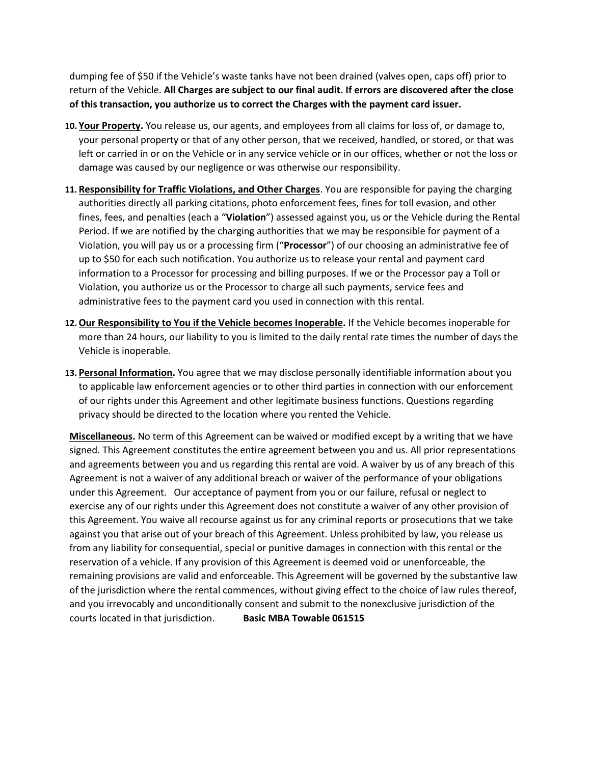dumping fee of \$50 if the Vehicle's waste tanks have not been drained (valves open, caps off) prior to return of the Vehicle. **All Charges are subject to our final audit. If errors are discovered after the close of this transaction, you authorize us to correct the Charges with the payment card issuer.**

- **10. Your Property.** You release us, our agents, and employees from all claims for loss of, or damage to, your personal property or that of any other person, that we received, handled, or stored, or that was left or carried in or on the Vehicle or in any service vehicle or in our offices, whether or not the loss or damage was caused by our negligence or was otherwise our responsibility.
- **11. Responsibility for Traffic Violations, and Other Charges**. You are responsible for paying the charging authorities directly all parking citations, photo enforcement fees, fines for toll evasion, and other fines, fees, and penalties (each a "**Violation**") assessed against you, us or the Vehicle during the Rental Period. If we are notified by the charging authorities that we may be responsible for payment of a Violation, you will pay us or a processing firm ("**Processor**") of our choosing an administrative fee of up to \$50 for each such notification. You authorize us to release your rental and payment card information to a Processor for processing and billing purposes. If we or the Processor pay a Toll or Violation, you authorize us or the Processor to charge all such payments, service fees and administrative fees to the payment card you used in connection with this rental.
- **12.Our Responsibility to You if the Vehicle becomes Inoperable.** If the Vehicle becomes inoperable for more than 24 hours, our liability to you is limited to the daily rental rate times the number of days the Vehicle is inoperable.
- **13. Personal Information.** You agree that we may disclose personally identifiable information about you to applicable law enforcement agencies or to other third parties in connection with our enforcement of our rights under this Agreement and other legitimate business functions. Questions regarding privacy should be directed to the location where you rented the Vehicle.

**Miscellaneous.** No term of this Agreement can be waived or modified except by a writing that we have signed. This Agreement constitutes the entire agreement between you and us. All prior representations and agreements between you and us regarding this rental are void. A waiver by us of any breach of this Agreement is not a waiver of any additional breach or waiver of the performance of your obligations under this Agreement. Our acceptance of payment from you or our failure, refusal or neglect to exercise any of our rights under this Agreement does not constitute a waiver of any other provision of this Agreement. You waive all recourse against us for any criminal reports or prosecutions that we take against you that arise out of your breach of this Agreement. Unless prohibited by law, you release us from any liability for consequential, special or punitive damages in connection with this rental or the reservation of a vehicle. If any provision of this Agreement is deemed void or unenforceable, the remaining provisions are valid and enforceable. This Agreement will be governed by the substantive law of the jurisdiction where the rental commences, without giving effect to the choice of law rules thereof, and you irrevocably and unconditionally consent and submit to the nonexclusive jurisdiction of the courts located in that jurisdiction. **Basic MBA Towable 061515**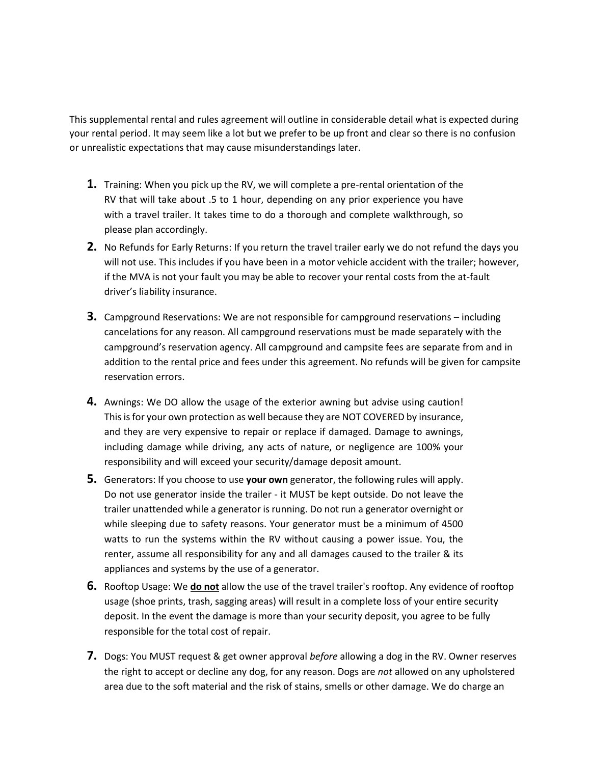This supplemental rental and rules agreement will outline in considerable detail what is expected during your rental period. It may seem like a lot but we prefer to be up front and clear so there is no confusion or unrealistic expectations that may cause misunderstandings later.

- **1.** Training: When you pick up the RV, we will complete a pre-rental orientation of the RV that will take about .5 to 1 hour, depending on any prior experience you have with a travel trailer. It takes time to do a thorough and complete walkthrough, so please plan accordingly.
- **2.** No Refunds for Early Returns: If you return the travel trailer early we do not refund the days you will not use. This includes if you have been in a motor vehicle accident with the trailer; however, if the MVA is not your fault you may be able to recover your rental costs from the at-fault driver's liability insurance.
- **3.** Campground Reservations: We are not responsible for campground reservations including cancelations for any reason. All campground reservations must be made separately with the campground's reservation agency. All campground and campsite fees are separate from and in addition to the rental price and fees under this agreement. No refunds will be given for campsite reservation errors.
- **4.** Awnings: We DO allow the usage of the exterior awning but advise using caution! This is for your own protection as well because they are NOT COVERED by insurance, and they are very expensive to repair or replace if damaged. Damage to awnings, including damage while driving, any acts of nature, or negligence are 100% your responsibility and will exceed your security/damage deposit amount.
- **5.** Generators: If you choose to use **your own** generator, the following rules will apply. Do not use generator inside the trailer - it MUST be kept outside. Do not leave the trailer unattended while a generator is running. Do not run a generator overnight or while sleeping due to safety reasons. Your generator must be a minimum of 4500 watts to run the systems within the RV without causing a power issue. You, the renter, assume all responsibility for any and all damages caused to the trailer & its appliances and systems by the use of a generator.
- **6.** Rooftop Usage: We **do not** allow the use of the travel trailer's rooftop. Any evidence of rooftop usage (shoe prints, trash, sagging areas) will result in a complete loss of your entire security deposit. In the event the damage is more than your security deposit, you agree to be fully responsible for the total cost of repair.
- **7.** Dogs: You MUST request & get owner approval *before* allowing a dog in the RV. Owner reserves the right to accept or decline any dog, for any reason. Dogs are *not* allowed on any upholstered area due to the soft material and the risk of stains, smells or other damage. We do charge an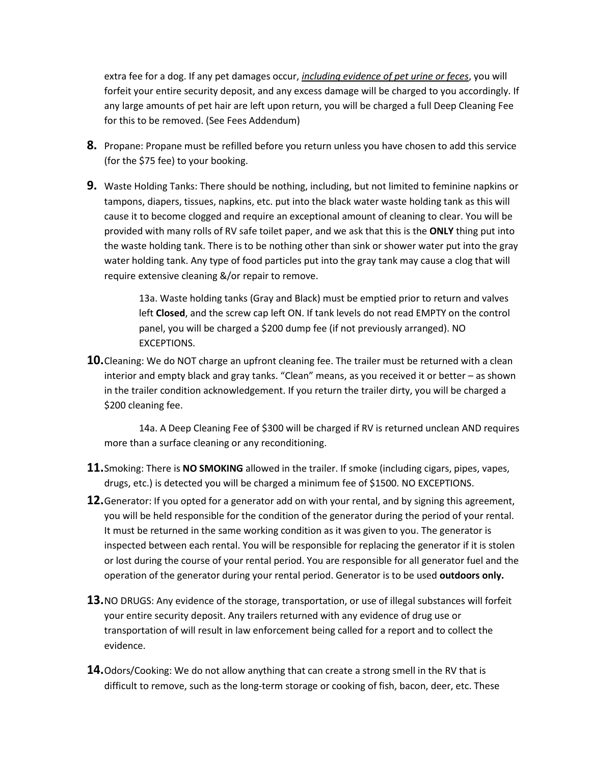extra fee for a dog. If any pet damages occur, *including evidence of pet urine or feces*, you will forfeit your entire security deposit, and any excess damage will be charged to you accordingly. If any large amounts of pet hair are left upon return, you will be charged a full Deep Cleaning Fee for this to be removed. (See Fees Addendum)

- **8.** Propane: Propane must be refilled before you return unless you have chosen to add this service (for the \$75 fee) to your booking.
- **9.** Waste Holding Tanks: There should be nothing, including, but not limited to feminine napkins or tampons, diapers, tissues, napkins, etc. put into the black water waste holding tank as this will cause it to become clogged and require an exceptional amount of cleaning to clear. You will be provided with many rolls of RV safe toilet paper, and we ask that this is the **ONLY** thing put into the waste holding tank. There is to be nothing other than sink or shower water put into the gray water holding tank. Any type of food particles put into the gray tank may cause a clog that will require extensive cleaning &/or repair to remove.

13a. Waste holding tanks (Gray and Black) must be emptied prior to return and valves left **Closed**, and the screw cap left ON. If tank levels do not read EMPTY on the control panel, you will be charged a \$200 dump fee (if not previously arranged). NO EXCEPTIONS.

**10.**Cleaning: We do NOT charge an upfront cleaning fee. The trailer must be returned with a clean interior and empty black and gray tanks. "Clean" means, as you received it or better – as shown in the trailer condition acknowledgement. If you return the trailer dirty, you will be charged a \$200 cleaning fee.

14a. A Deep Cleaning Fee of \$300 will be charged if RV is returned unclean AND requires more than a surface cleaning or any reconditioning.

- **11.**Smoking: There is **NO SMOKING** allowed in the trailer. If smoke (including cigars, pipes, vapes, drugs, etc.) is detected you will be charged a minimum fee of \$1500. NO EXCEPTIONS.
- **12.**Generator: If you opted for a generator add on with your rental, and by signing this agreement, you will be held responsible for the condition of the generator during the period of your rental. It must be returned in the same working condition as it was given to you. The generator is inspected between each rental. You will be responsible for replacing the generator if it is stolen or lost during the course of your rental period. You are responsible for all generator fuel and the operation of the generator during your rental period. Generator is to be used **outdoors only.**
- **13.**NO DRUGS: Any evidence of the storage, transportation, or use of illegal substances will forfeit your entire security deposit. Any trailers returned with any evidence of drug use or transportation of will result in law enforcement being called for a report and to collect the evidence.
- **14.**Odors/Cooking: We do not allow anything that can create a strong smell in the RV that is difficult to remove, such as the long-term storage or cooking of fish, bacon, deer, etc. These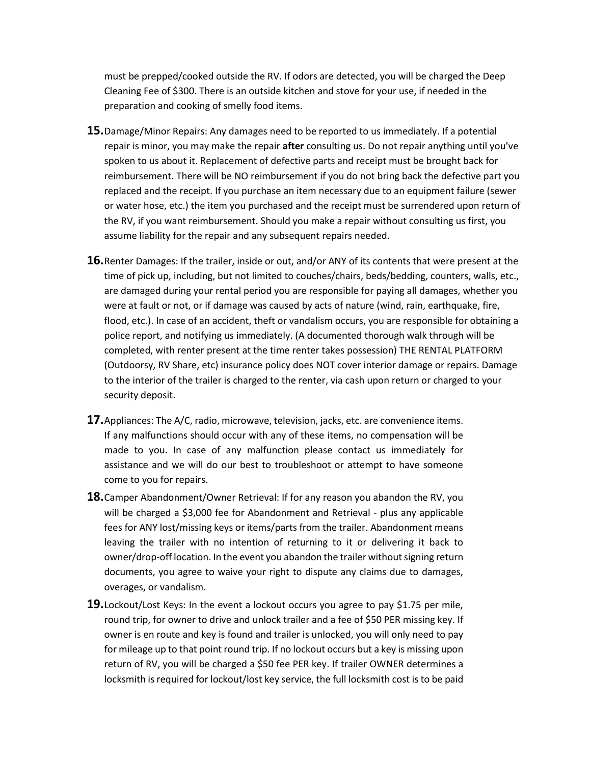must be prepped/cooked outside the RV. If odors are detected, you will be charged the Deep Cleaning Fee of \$300. There is an outside kitchen and stove for your use, if needed in the preparation and cooking of smelly food items.

- **15.**Damage/Minor Repairs: Any damages need to be reported to us immediately. If a potential repair is minor, you may make the repair **after** consulting us. Do not repair anything until you've spoken to us about it. Replacement of defective parts and receipt must be brought back for reimbursement. There will be NO reimbursement if you do not bring back the defective part you replaced and the receipt. If you purchase an item necessary due to an equipment failure (sewer or water hose, etc.) the item you purchased and the receipt must be surrendered upon return of the RV, if you want reimbursement. Should you make a repair without consulting us first, you assume liability for the repair and any subsequent repairs needed.
- **16.**Renter Damages: If the trailer, inside or out, and/or ANY of its contents that were present at the time of pick up, including, but not limited to couches/chairs, beds/bedding, counters, walls, etc., are damaged during your rental period you are responsible for paying all damages, whether you were at fault or not, or if damage was caused by acts of nature (wind, rain, earthquake, fire, flood, etc.). In case of an accident, theft or vandalism occurs, you are responsible for obtaining a police report, and notifying us immediately. (A documented thorough walk through will be completed, with renter present at the time renter takes possession) THE RENTAL PLATFORM (Outdoorsy, RV Share, etc) insurance policy does NOT cover interior damage or repairs. Damage to the interior of the trailer is charged to the renter, via cash upon return or charged to your security deposit.
- **17.**Appliances: The A/C, radio, microwave, television, jacks, etc. are convenience items. If any malfunctions should occur with any of these items, no compensation will be made to you. In case of any malfunction please contact us immediately for assistance and we will do our best to troubleshoot or attempt to have someone come to you for repairs.
- **18.**Camper Abandonment/Owner Retrieval: If for any reason you abandon the RV, you will be charged a \$3,000 fee for Abandonment and Retrieval - plus any applicable fees for ANY lost/missing keys or items/parts from the trailer. Abandonment means leaving the trailer with no intention of returning to it or delivering it back to owner/drop-off location. In the event you abandon the trailer without signing return documents, you agree to waive your right to dispute any claims due to damages, overages, or vandalism.
- **19.**Lockout/Lost Keys: In the event a lockout occurs you agree to pay \$1.75 per mile, round trip, for owner to drive and unlock trailer and a fee of \$50 PER missing key. If owner is en route and key is found and trailer is unlocked, you will only need to pay for mileage up to that point round trip. If no lockout occurs but a key is missing upon return of RV, you will be charged a \$50 fee PER key. If trailer OWNER determines a locksmith is required for lockout/lost key service, the full locksmith cost is to be paid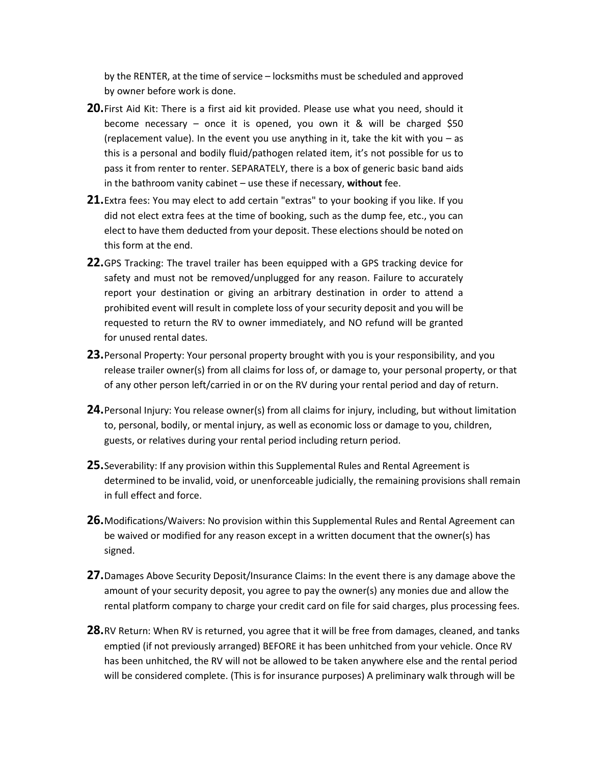by the RENTER, at the time of service – locksmiths must be scheduled and approved by owner before work is done.

- **20.**First Aid Kit: There is a first aid kit provided. Please use what you need, should it become necessary – once it is opened, you own it & will be charged \$50 (replacement value). In the event you use anything in it, take the kit with you – as this is a personal and bodily fluid/pathogen related item, it's not possible for us to pass it from renter to renter. SEPARATELY, there is a box of generic basic band aids in the bathroom vanity cabinet – use these if necessary, **without** fee.
- **21.**Extra fees: You may elect to add certain "extras" to your booking if you like. If you did not elect extra fees at the time of booking, such as the dump fee, etc., you can elect to have them deducted from your deposit. These elections should be noted on this form at the end.
- **22.**GPS Tracking: The travel trailer has been equipped with a GPS tracking device for safety and must not be removed/unplugged for any reason. Failure to accurately report your destination or giving an arbitrary destination in order to attend a prohibited event will result in complete loss of your security deposit and you will be requested to return the RV to owner immediately, and NO refund will be granted for unused rental dates.
- **23.**Personal Property: Your personal property brought with you is your responsibility, and you release trailer owner(s) from all claims for loss of, or damage to, your personal property, or that of any other person left/carried in or on the RV during your rental period and day of return.
- **24.**Personal Injury: You release owner(s) from all claims for injury, including, but without limitation to, personal, bodily, or mental injury, as well as economic loss or damage to you, children, guests, or relatives during your rental period including return period.
- **25.**Severability: If any provision within this Supplemental Rules and Rental Agreement is determined to be invalid, void, or unenforceable judicially, the remaining provisions shall remain in full effect and force.
- **26.**Modifications/Waivers: No provision within this Supplemental Rules and Rental Agreement can be waived or modified for any reason except in a written document that the owner(s) has signed.
- **27.**Damages Above Security Deposit/Insurance Claims: In the event there is any damage above the amount of your security deposit, you agree to pay the owner(s) any monies due and allow the rental platform company to charge your credit card on file for said charges, plus processing fees.
- **28.**RV Return: When RV is returned, you agree that it will be free from damages, cleaned, and tanks emptied (if not previously arranged) BEFORE it has been unhitched from your vehicle. Once RV has been unhitched, the RV will not be allowed to be taken anywhere else and the rental period will be considered complete. (This is for insurance purposes) A preliminary walk through will be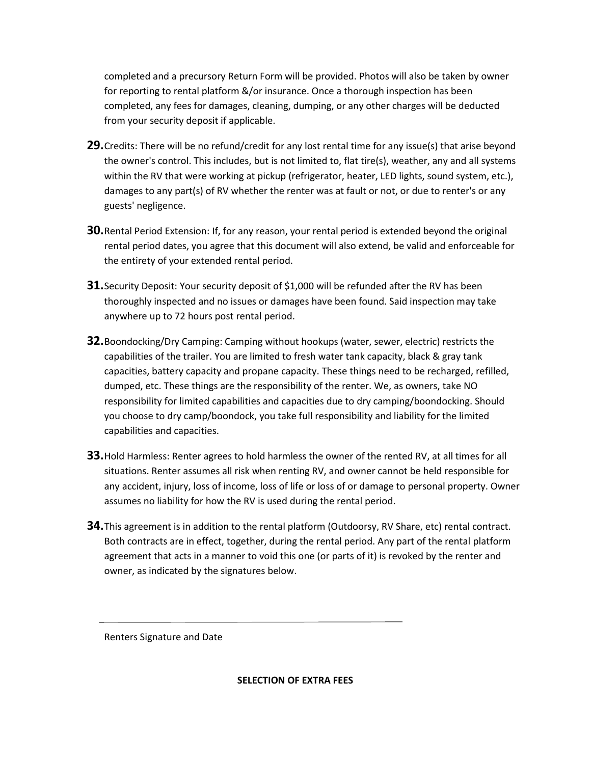completed and a precursory Return Form will be provided. Photos will also be taken by owner for reporting to rental platform &/or insurance. Once a thorough inspection has been completed, any fees for damages, cleaning, dumping, or any other charges will be deducted from your security deposit if applicable.

- **29.**Credits: There will be no refund/credit for any lost rental time for any issue(s) that arise beyond the owner's control. This includes, but is not limited to, flat tire(s), weather, any and all systems within the RV that were working at pickup (refrigerator, heater, LED lights, sound system, etc.), damages to any part(s) of RV whether the renter was at fault or not, or due to renter's or any guests' negligence.
- **30.**Rental Period Extension: If, for any reason, your rental period is extended beyond the original rental period dates, you agree that this document will also extend, be valid and enforceable for the entirety of your extended rental period.
- **31.** Security Deposit: Your security deposit of \$1,000 will be refunded after the RV has been thoroughly inspected and no issues or damages have been found. Said inspection may take anywhere up to 72 hours post rental period.
- **32.**Boondocking/Dry Camping: Camping without hookups (water, sewer, electric) restricts the capabilities of the trailer. You are limited to fresh water tank capacity, black & gray tank capacities, battery capacity and propane capacity. These things need to be recharged, refilled, dumped, etc. These things are the responsibility of the renter. We, as owners, take NO responsibility for limited capabilities and capacities due to dry camping/boondocking. Should you choose to dry camp/boondock, you take full responsibility and liability for the limited capabilities and capacities.
- **33.**Hold Harmless: Renter agrees to hold harmless the owner of the rented RV, at all times for all situations. Renter assumes all risk when renting RV, and owner cannot be held responsible for any accident, injury, loss of income, loss of life or loss of or damage to personal property. Owner assumes no liability for how the RV is used during the rental period.
- **34.**This agreement is in addition to the rental platform (Outdoorsy, RV Share, etc) rental contract. Both contracts are in effect, together, during the rental period. Any part of the rental platform agreement that acts in a manner to void this one (or parts of it) is revoked by the renter and owner, as indicated by the signatures below.

Renters Signature and Date

**SELECTION OF EXTRA FEES**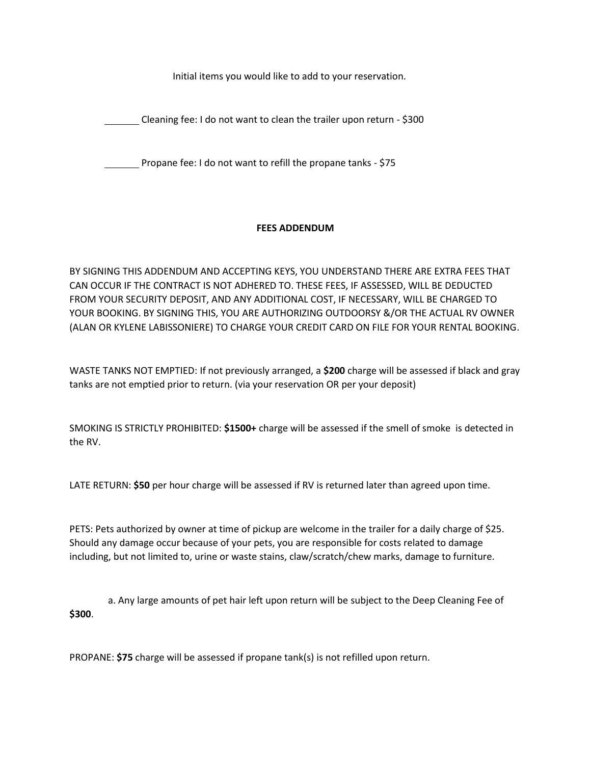Initial items you would like to add to your reservation.

Cleaning fee: I do not want to clean the trailer upon return - \$300

Propane fee: I do not want to refill the propane tanks - \$75

## **FEES ADDENDUM**

BY SIGNING THIS ADDENDUM AND ACCEPTING KEYS, YOU UNDERSTAND THERE ARE EXTRA FEES THAT CAN OCCUR IF THE CONTRACT IS NOT ADHERED TO. THESE FEES, IF ASSESSED, WILL BE DEDUCTED FROM YOUR SECURITY DEPOSIT, AND ANY ADDITIONAL COST, IF NECESSARY, WILL BE CHARGED TO YOUR BOOKING. BY SIGNING THIS, YOU ARE AUTHORIZING OUTDOORSY &/OR THE ACTUAL RV OWNER (ALAN OR KYLENE LABISSONIERE) TO CHARGE YOUR CREDIT CARD ON FILE FOR YOUR RENTAL BOOKING.

WASTE TANKS NOT EMPTIED: If not previously arranged, a **\$200** charge will be assessed if black and gray tanks are not emptied prior to return. (via your reservation OR per your deposit)

SMOKING IS STRICTLY PROHIBITED: **\$1500+** charge will be assessed if the smell of smoke is detected in the RV.

LATE RETURN: **\$50** per hour charge will be assessed if RV is returned later than agreed upon time.

PETS: Pets authorized by owner at time of pickup are welcome in the trailer for a daily charge of \$25. Should any damage occur because of your pets, you are responsible for costs related to damage including, but not limited to, urine or waste stains, claw/scratch/chew marks, damage to furniture.

 a. Any large amounts of pet hair left upon return will be subject to the Deep Cleaning Fee of **\$300**.

PROPANE: **\$75** charge will be assessed if propane tank(s) is not refilled upon return.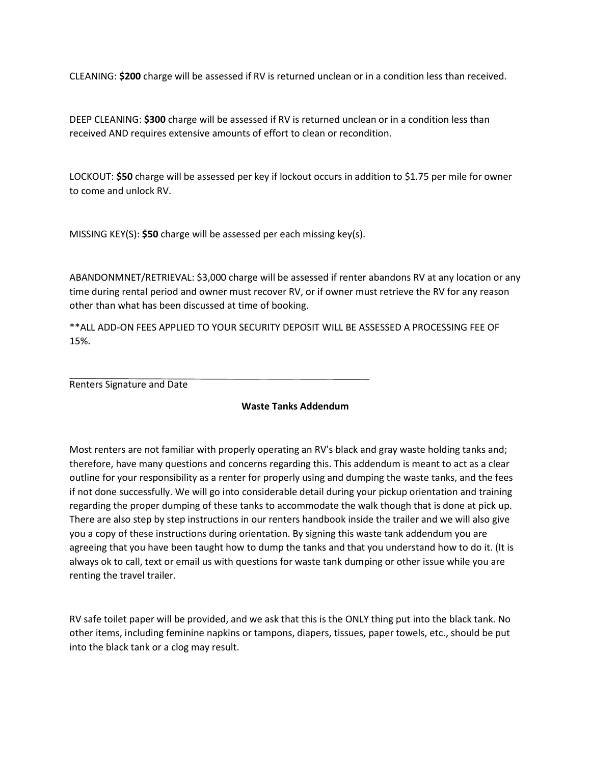CLEANING: **\$200** charge will be assessed if RV is returned unclean or in a condition less than received.

DEEP CLEANING: **\$300** charge will be assessed if RV is returned unclean or in a condition less than received AND requires extensive amounts of effort to clean or recondition.

LOCKOUT: **\$50** charge will be assessed per key if lockout occurs in addition to \$1.75 per mile for owner to come and unlock RV.

MISSING KEY(S): **\$50** charge will be assessed per each missing key(s).

ABANDONMNET/RETRIEVAL: \$3,000 charge will be assessed if renter abandons RV at any location or any time during rental period and owner must recover RV, or if owner must retrieve the RV for any reason other than what has been discussed at time of booking.

\*\*ALL ADD-ON FEES APPLIED TO YOUR SECURITY DEPOSIT WILL BE ASSESSED A PROCESSING FEE OF 15%.

Renters Signature and Date

## **Waste Tanks Addendum**

Most renters are not familiar with properly operating an RV's black and gray waste holding tanks and; therefore, have many questions and concerns regarding this. This addendum is meant to act as a clear outline for your responsibility as a renter for properly using and dumping the waste tanks, and the fees if not done successfully. We will go into considerable detail during your pickup orientation and training regarding the proper dumping of these tanks to accommodate the walk though that is done at pick up. There are also step by step instructions in our renters handbook inside the trailer and we will also give you a copy of these instructions during orientation. By signing this waste tank addendum you are agreeing that you have been taught how to dump the tanks and that you understand how to do it. (It is always ok to call, text or email us with questions for waste tank dumping or other issue while you are renting the travel trailer.

RV safe toilet paper will be provided, and we ask that this is the ONLY thing put into the black tank. No other items, including feminine napkins or tampons, diapers, tissues, paper towels, etc., should be put into the black tank or a clog may result.